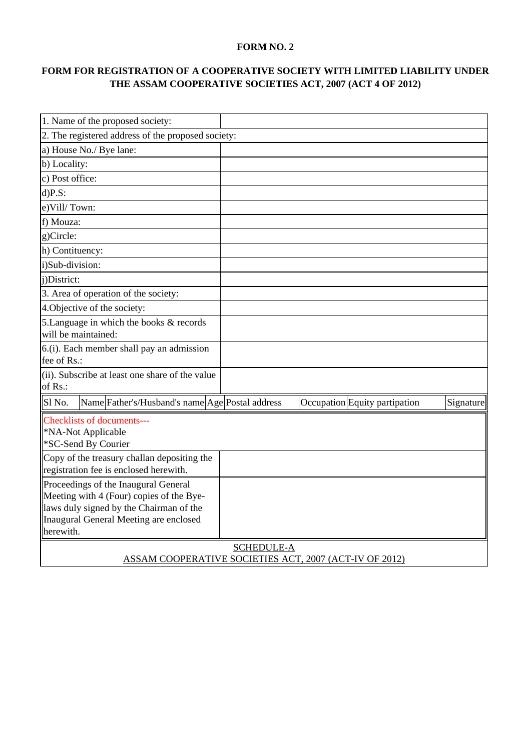## **FORM NO. 2**

## **FORM FOR REGISTRATION OF A COOPERATIVE SOCIETY WITH LIMITED LIABILITY UNDER THE ASSAM COOPERATIVE SOCIETIES ACT, 2007 (ACT 4 OF 2012)**

| 1. Name of the proposed society:                                                                                                                                      |                                            |  |  |  |  |
|-----------------------------------------------------------------------------------------------------------------------------------------------------------------------|--------------------------------------------|--|--|--|--|
| 2. The registered address of the proposed society:                                                                                                                    |                                            |  |  |  |  |
| a) House No./ Bye lane:                                                                                                                                               |                                            |  |  |  |  |
| b) Locality:                                                                                                                                                          |                                            |  |  |  |  |
| c) Post office:                                                                                                                                                       |                                            |  |  |  |  |
| $d$ )P.S:                                                                                                                                                             |                                            |  |  |  |  |
| e)Vill/Town:                                                                                                                                                          |                                            |  |  |  |  |
| f) Mouza:                                                                                                                                                             |                                            |  |  |  |  |
| g)Circle:                                                                                                                                                             |                                            |  |  |  |  |
| h) Contituency:                                                                                                                                                       |                                            |  |  |  |  |
| i)Sub-division:                                                                                                                                                       |                                            |  |  |  |  |
| i)District:                                                                                                                                                           |                                            |  |  |  |  |
| 3. Area of operation of the society:                                                                                                                                  |                                            |  |  |  |  |
| 4. Objective of the society:                                                                                                                                          |                                            |  |  |  |  |
| 5. Language in which the books & records<br>will be maintained:                                                                                                       |                                            |  |  |  |  |
| 6.(i). Each member shall pay an admission<br>fee of Rs.:                                                                                                              |                                            |  |  |  |  |
| (ii). Subscribe at least one share of the value<br>of Rs.:                                                                                                            |                                            |  |  |  |  |
| Name Father's/Husband's name Age Postal address<br>Sl <sub>No.</sub>                                                                                                  | Occupation Equity partipation<br>Signature |  |  |  |  |
| <b>Checklists of documents---</b><br>*NA-Not Applicable<br>*SC-Send By Courier                                                                                        |                                            |  |  |  |  |
| Copy of the treasury challan depositing the<br>registration fee is enclosed herewith.                                                                                 |                                            |  |  |  |  |
| Proceedings of the Inaugural General<br>Meeting with 4 (Four) copies of the Bye-<br>laws duly signed by the Chairman of the<br>Inaugural General Meeting are enclosed |                                            |  |  |  |  |
| herewith.                                                                                                                                                             |                                            |  |  |  |  |
| <b>SCHEDULE-A</b>                                                                                                                                                     |                                            |  |  |  |  |
| ASSAM COOPERATIVE SOCIETIES ACT, 2007 (ACT-IV OF 2012)                                                                                                                |                                            |  |  |  |  |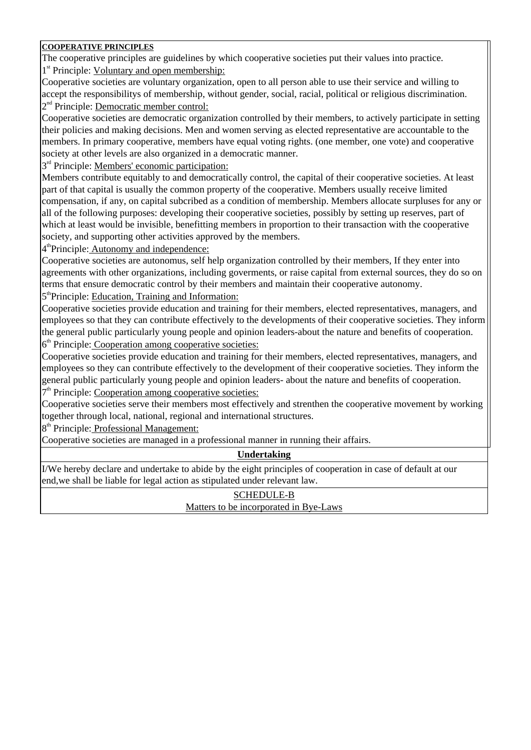## **COOPERATIVE PRINCIPLES**

The cooperative principles are guidelines by which cooperative societies put their values into practice.

1<sup>st</sup> Principle: Voluntary and open membership:

Cooperative societies are voluntary organization, open to all person able to use their service and willing to accept the responsibilitys of membership, without gender, social, racial, political or religious discrimination. 2<sup>nd</sup> Principle: Democratic member control:

Cooperative societies are democratic organization controlled by their members, to actively participate in setting their policies and making decisions. Men and women serving as elected representative are accountable to the members. In primary cooperative, members have equal voting rights. (one member, one vote) and cooperative society at other levels are also organized in a democratic manner.

3<sup>rd</sup> Principle: Members' economic participation:

Members contribute equitably to and democratically control, the capital of their cooperative societies. At least part of that capital is usually the common property of the cooperative. Members usually receive limited compensation, if any, on capital subcribed as a condition of membership. Members allocate surpluses for any or all of the following purposes: developing their cooperative societies, possibly by setting up reserves, part of which at least would be invisible, benefitting members in proportion to their transaction with the cooperative society, and supporting other activities approved by the members.

4<sup>th</sup>Principle: **Autonomy and independence:** 

Cooperative societies are autonomus, self help organization controlled by their members, If they enter into agreements with other organizations, including goverments, or raise capital from external sources, they do so on terms that ensure democratic control by their members and maintain their cooperative autonomy.

5<sup>th</sup>Principle: Education, Training and Information:

Cooperative societies provide education and training for their members, elected representatives, managers, and employees so that they can contribute effectively to the developments of their cooperative societies. They inform the general public particularly young people and opinion leaders-about the nature and benefits of cooperation. 6<sup>th</sup> Principle: Cooperation among cooperative societies:

Cooperative societies provide education and training for their members, elected representatives, managers, and employees so they can contribute effectively to the development of their cooperative societies. They inform the general public particularly young people and opinion leaders- about the nature and benefits of cooperation.

7<sup>th</sup> Principle: Cooperation among cooperative societies:

Cooperative societies serve their members most effectively and strenthen the cooperative movement by working together through local, national, regional and international structures.

8<sup>th</sup> Principle: Professional Management:

Cooperative societies are managed in a professional manner in running their affairs.

## **Undertaking**

I/We hereby declare and undertake to abide by the eight principles of cooperation in case of default at our end,we shall be liable for legal action as stipulated under relevant law.

> SCHEDULE-B Matters to be incorporated in Bye-Laws